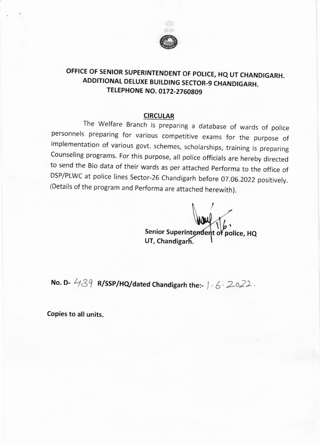

## OFFICE OF SENIOR SUPERINTENDENT OF POLICE, HQ UT CHANDIGARH. ADDITIONAL DELUXE BUILDING SECTOR-9 CHANDIGARH. TELEPHONE NO. 0172\_2760809

#### CIRCULAR

The Welfare Branch is preparing a database of wards of police personnels preparing for various competitive exams for the purpose of implementation of various govt. schemes, scholarships, training is preparing Counseling programs. For this purpose, all police officials are hereby directed to send the Bio data of their wards as per attached performa to the office of DSP/PLWC at police lines Sector-26 Chandigarh before 07.06.2022 positively. (Details of the program and performa are attached herewith).

> I Senior Superintendent of police, HQ UT, Chandigarh. I

No. D-  $439$  R/SSP/HQ/dated Chandigarh the:-  $1.6$  2022.

Copies to all units.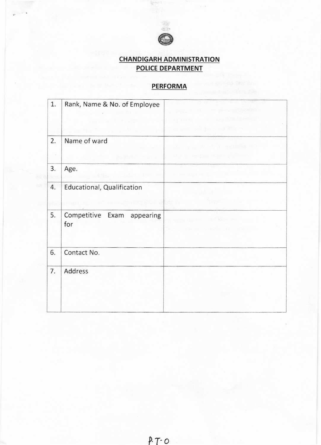

聚

### CHANDIGARH ADMINISTRATION POLICE DEPARTMENT

# PERFORMA

| 1.      | Rank, Name & No. of Employee            |  |
|---------|-----------------------------------------|--|
| 2.<br>÷ | Name of ward                            |  |
| 3.      | Age.                                    |  |
| 4.      | Educational, Qualification              |  |
| 5.      | Competitive<br>Exam<br>appearing<br>for |  |
| 6.      | Contact No.                             |  |
| 7.      | Address                                 |  |